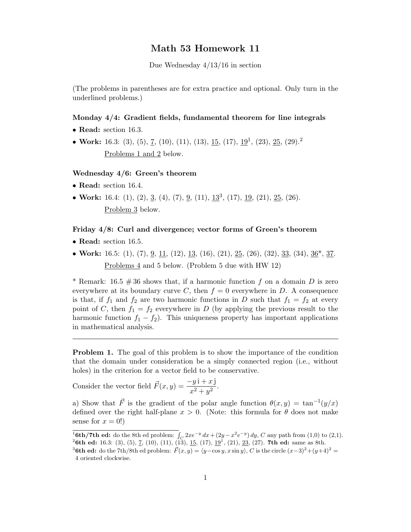## Math 53 Homework 11

Due Wednesday 4/13/16 in section

(The problems in parentheses are for extra practice and optional. Only turn in the underlined problems.)

#### Monday 4/4: Gradient fields, fundamental theorem for line integrals

- Read: section 16.3.
- Work: 16.3: (3), (5), <u>7</u>, (10), (11), (13), <u>15</u>, (17), <u>19</u><sup>1</sup>, (23), <u>25</u>, (29).<sup>2</sup> Problems 1 and 2 below.

### Wednesday 4/6: Green's theorem

- Read: section 16.4.
- Work: 16.4: (1), (2), 3, (4), (7), 9, (11),  $13^3$ , (17),  $19$ , (21), 25, (26). Problem 3 below.

#### Friday 4/8: Curl and divergence; vector forms of Green's theorem

- Read: section 16.5.
- Work: 16.5: (1), (7), <u>9, 11</u>, (12), <u>13</u>, (16), (21), <u>25</u>, (26), (32), <u>33</u>, (34), <u>36</u><sup>\*</sup>, 37. Problems 4 and 5 below. (Problem 5 due with HW 12)

\* Remark: 16.5  $\#36$  shows that, if a harmonic function f on a domain D is zero everywhere at its boundary curve C, then  $f = 0$  everywhere in D. A consequence is that, if  $f_1$  and  $f_2$  are two harmonic functions in D such that  $f_1 = f_2$  at every point of C, then  $f_1 = f_2$  everywhere in D (by applying the previous result to the harmonic function  $f_1 - f_2$ ). This uniqueness property has important applications in mathematical analysis.

**Problem 1.** The goal of this problem is to show the importance of the condition that the domain under consideration be a simply connected region (i.e., without holes) in the criterion for a vector field to be conservative.

Consider the vector field  $\vec{F}(x, y) = \frac{-y \hat{\imath} + x \hat{\jmath}}{x^2 + y^2}$ .

a) Show that  $\vec{F}$  is the gradient of the polar angle function  $\theta(x, y) = \tan^{-1}(y/x)$ defined over the right half-plane  $x > 0$ . (Note: this formula for  $\theta$  does not make sense for  $x = 0!$ 

<sup>&</sup>lt;sup>1</sup><sub>o</sub>oth/7th ed: do the 8th ed problem:  $\int_C 2xe^{-y} dx + (2y - x^2e^{-y}) dy$ , C any path from (1,0) to (2,1). <sup>2</sup>6th ed: 16.3: (3), (5), <u>7</u>, (10), (11), (13), <u>15</u>, (17),  $\frac{19}{1}$ , (21), <u>23</u>, (27). **7th ed:** same as 8th.

<sup>&</sup>lt;sup>3</sup>6th ed: do the 7th/8th ed problem:  $\vec{F}(x, y) = \langle y-\cos y, x \sin y \rangle$ , C is the circle  $(x-3)^2+(y+4)^2$ 4 oriented clockwise.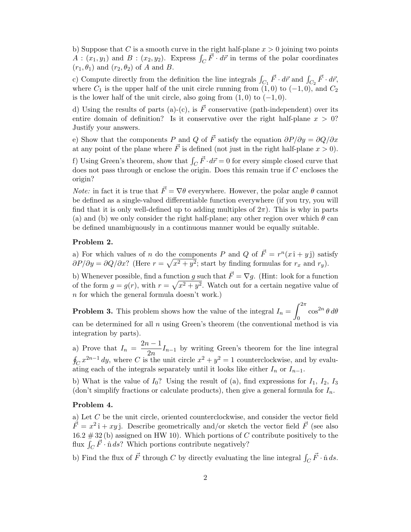b) Suppose that C is a smooth curve in the right half-plane  $x > 0$  joining two points  $A:(x_1,y_1)$  and  $B:(x_2,y_2)$ . Express  $\int_C \vec{F} \cdot d\vec{r}$  in terms of the polar coordinates  $(r_1, \theta_1)$  and  $(r_2, \theta_2)$  of A and B.

c) Compute directly from the definition the line integrals  $\int_{C_1} \vec{F} \cdot d\vec{r}$  and  $\int_{C_2} \vec{F} \cdot d\vec{r}$ , where  $C_1$  is the upper half of the unit circle running from  $(1,0)$  to  $(-1,0)$ , and  $C_2$ is the lower half of the unit circle, also going from  $(1, 0)$  to  $(-1, 0)$ .

d) Using the results of parts (a)-(c), is  $\vec{F}$  conservative (path-independent) over its entire domain of definition? Is it conservative over the right half-plane  $x > 0$ ? Justify your answers.

e) Show that the components P and Q of  $\vec{F}$  satisfy the equation  $\partial P/\partial y = \partial Q/\partial x$ at any point of the plane where  $\vec{F}$  is defined (not just in the right half-plane  $x > 0$ ).

f) Using Green's theorem, show that  $\int_C \vec{F} \cdot d\vec{r} = 0$  for every simple closed curve that does not pass through or enclose the origin. Does this remain true if C encloses the origin?

*Note:* in fact it is true that  $\vec{F} = \nabla \theta$  everywhere. However, the polar angle  $\theta$  cannot be defined as a single-valued differentiable function everywhere (if you try, you will find that it is only well-defined up to adding multiples of  $2\pi$ ). This is why in parts (a) and (b) we only consider the right half-plane; any other region over which  $\theta$  can be defined unambiguously in a continuous manner would be equally suitable.

#### Problem 2.

a) For which values of n do the components P and Q of  $\vec{F} = r^n(x\hat{i} + y\hat{j})$  satisfy  $\partial P/\partial y = \partial Q/\partial x$ ? (Here  $r = \sqrt{x^2 + y^2}$ ; start by finding formulas for  $r_x$  and  $r_y$ ).

b) Whenever possible, find a function g such that  $\vec{F} = \nabla g$ . (Hint: look for a function of the form  $g = g(r)$ , with  $r = \sqrt{x^2 + y^2}$ . Watch out for a certain negative value of n for which the general formula doesn't work.)

**Problem 3.** This problem shows how the value of the integral  $I_n = \int_{0}^{2\pi}$  $\int_0^{\pi} \cos^{2n} \theta \, d\theta$ can be determined for all  $n$  using Green's theorem (the conventional method is via integration by parts).

a) Prove that  $I_n = \frac{2n-1}{2n}$  $\frac{1}{2n}I_{n-1}$  by writing Green's theorem for the line integral  $\oint_C x^{2n-1} dy$ , where C is the unit circle  $x^2 + y^2 = 1$  counterclockwise, and by evaluating each of the integrals separately until it looks like either  $I_n$  or  $I_{n-1}$ .

b) What is the value of  $I_0$ ? Using the result of (a), find expressions for  $I_1$ ,  $I_2$ ,  $I_3$ (don't simplify fractions or calculate products), then give a general formula for  $I_n$ .

#### Problem 4.

a) Let C be the unit circle, oriented counterclockwise, and consider the vector field  $\vec{F} = x^2 \hat{i} + xy \hat{j}$ . Describe geometrically and/or sketch the vector field  $\vec{F}$  (see also 16.2  $\#$  32 (b) assigned on HW 10). Which portions of C contribute positively to the flux  $\int_C \vec{F} \cdot \hat{n} ds$ ? Which portions contribute negatively?

b) Find the flux of  $\vec{F}$  through C by directly evaluating the line integral  $\int_C \vec{F} \cdot \hat{n} ds$ .